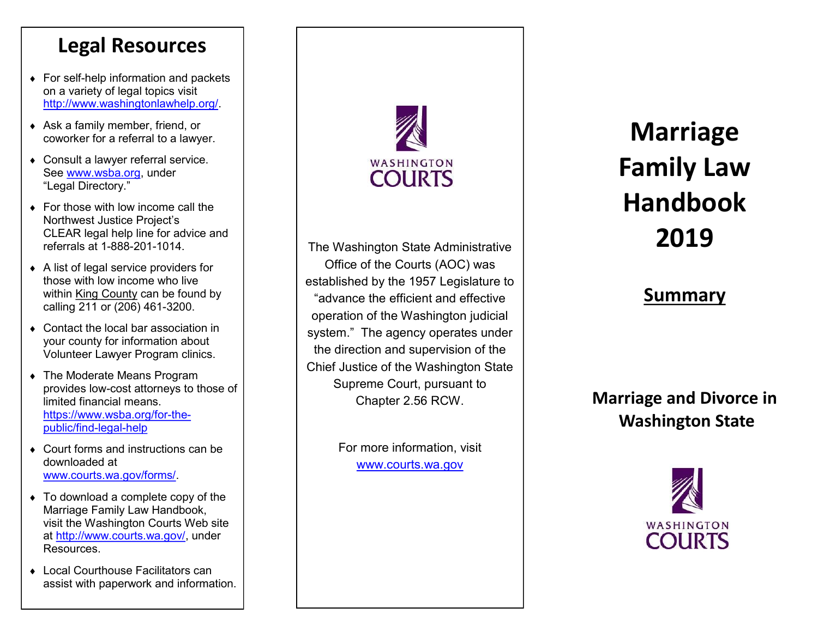#### **Legal Resources**

- For self -help information and packets on a variety of legal topics visit <http://www.washingtonlawhelp.org/>
- Ask a family member, friend, or coworker for a referral to a lawyer.
- Consult a lawyer referral service. See [www.wsba.org,](http://www.wsba.org) under "Legal Directory."
- ◆ For those with low income call the Northwest Justice Project's CLEAR legal help line for advice and referrals at 1 -888 -201 -1014.
- A list of legal service providers for those with low income who live within King County can be found by calling 211 or (206) 461 -3200.
- ◆ Contact the local bar association in your county for information about Volunteer Lawyer Program clinics.
- The Moderate Means Program provides low -cost attorneys to those of limited financial means. https://www.wsba.org/for-thepublic/find -legal -help
- ◆ Court forms and instructions can be downloaded at www.courts.wa.gov/forms/ .
- To download a complete copy of the Marriage Family Law Handbook, visit the Washington Courts Web site at [http://www.courts.wa.gov/,](https://www.courts.wa.gov/) under Resources.
- ◆ Local Courthouse Facilitators can assist with paperwork and information.



The Washington State Administrative Office of the Courts (AOC) was established by the 1957 Legislature to "advance the efficient and effective operation of the Washington judicial system." The agency operates under the direction and supervision of the Chief Justice of the Washington State Supreme Court, pursuant to Chapter 2.56 RCW.

> For more information, visit www.courts.wa.gov

# **Marriage Family Law Handbook 2019**

#### **Summary**

#### **Marriage and Divorce in Washington State**